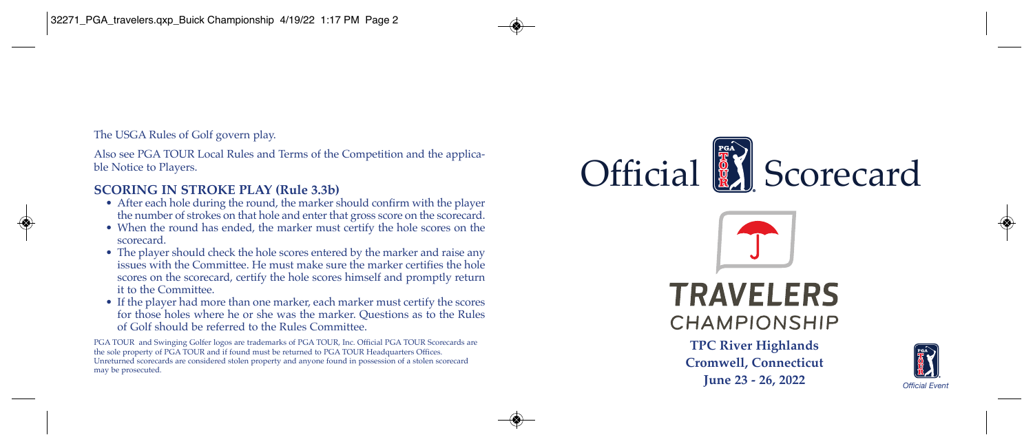The USGA Rules of Golf govern play.

Also see PGA TOUR Local Rules and Terms of the Competition and the applicable Notice to Players.

## **SCORING IN STROKE PLAY (Rule 3.3b)**

- After each hole during the round, the marker should confirm with the player the number of strokes on that hole and enter that gross score on the scorecard.
- When the round has ended, the marker must certify the hole scores on the scorecard.
- The player should check the hole scores entered by the marker and raise any issues with the Committee. He must make sure the marker certifies the hole scores on the scorecard, certify the hole scores himself and promptly return it to the Committee.
- If the player had more than one marker, each marker must certify the scores for those holes where he or she was the marker. Questions as to the Rules of Golf should be referred to the Rules Committee.

PGA TOUR and Swinging Golfer logos are trademarks of PGA TOUR, Inc. Official PGA TOUR Scorecards are the sole property of PGA TOUR and if found must be returned to PGA TOUR Headquarters Offices. Unreturned scorecards are considered stolen property and anyone found in possession of a stolen scorecard may be prosecuted.





**TPC River Highlands Cromwell, Connecticut June 23 - 26, 2022** *Official Event*